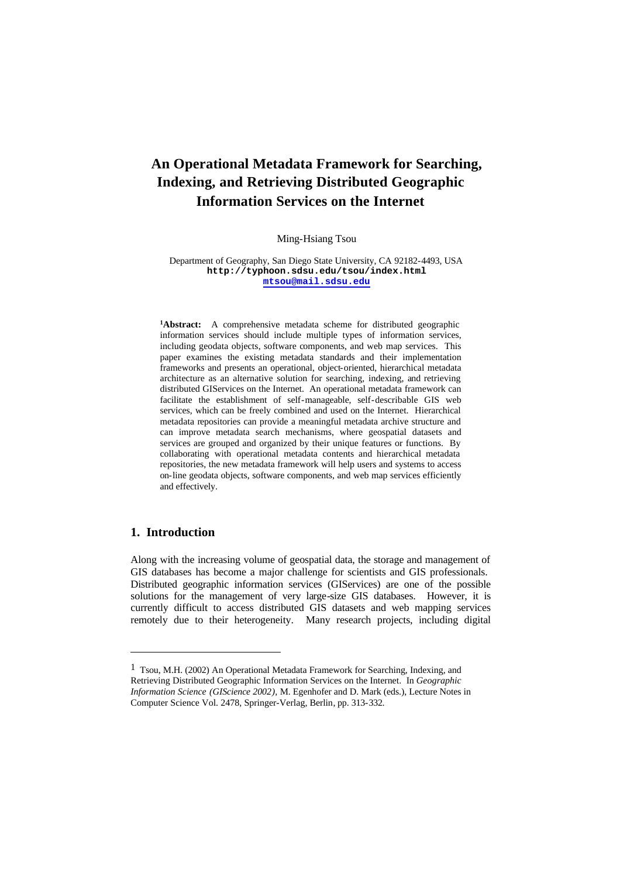Ming-Hsiang Tsou

Department of Geography, San Diego State University, CA 92182-4493, USA **http://typhoon.sdsu.edu/tsou/index.html mtsou@mail.sdsu.edu**

**<sup>1</sup>Abstract:** A comprehensive metadata scheme for distributed geographic information services should include multiple types of information services, including geodata objects, software components, and web map services. This paper examines the existing metadata standards and their implementation frameworks and presents an operational, object-oriented, hierarchical metadata architecture as an alternative solution for searching, indexing, and retrieving distributed GIServices on the Internet. An operational metadata framework can facilitate the establishment of self-manageable, self-describable GIS web services, which can be freely combined and used on the Internet. Hierarchical metadata repositories can provide a meaningful metadata archive structure and can improve metadata search mechanisms, where geospatial datasets and services are grouped and organized by their unique features or functions. By collaborating with operational metadata contents and hierarchical metadata repositories, the new metadata framework will help users and systems to access on-line geodata objects, software components, and web map services efficiently and effectively.

# **1. Introduction**

l

Along with the increasing volume of geospatial data, the storage and management of GIS databases has become a major challenge for scientists and GIS professionals. Distributed geographic information services (GIServices) are one of the possible solutions for the management of very large-size GIS databases. However, it is currently difficult to access distributed GIS datasets and web mapping services remotely due to their heterogeneity. Many research projects, including digital

<sup>1</sup> Tsou, M.H. (2002) An Operational Metadata Framework for Searching, Indexing, and Retrieving Distributed Geographic Information Services on the Internet. In *Geographic Information Science (GIScience 2002),* M. Egenhofer and D. Mark (eds.), Lecture Notes in Computer Science Vol. 2478, Springer-Verlag, Berlin, pp. 313-332.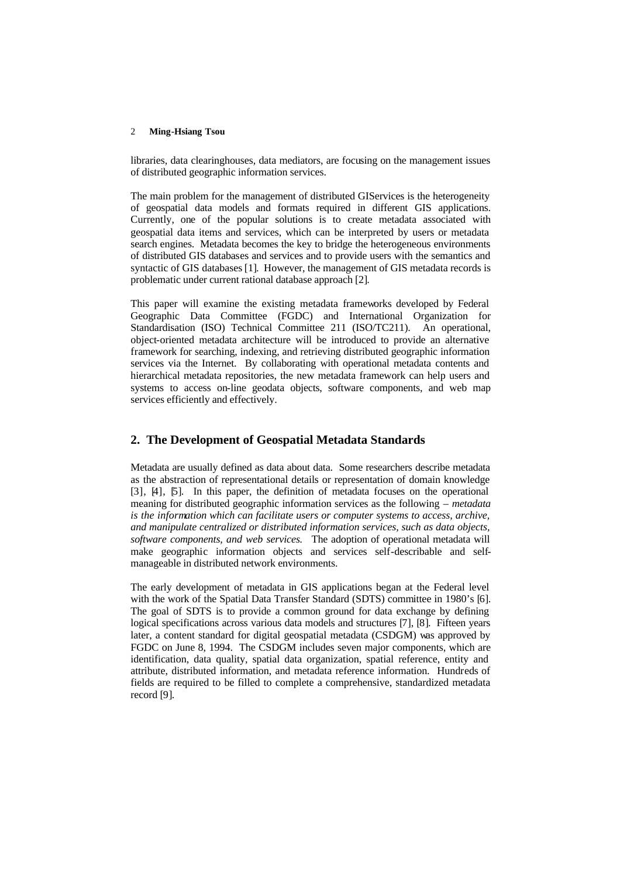libraries, data clearinghouses, data mediators, are focusing on the management issues of distributed geographic information services.

The main problem for the management of distributed GIServices is the heterogeneity of geospatial data models and formats required in different GIS applications. Currently, one of the popular solutions is to create metadata associated with geospatial data items and services, which can be interpreted by users or metadata search engines. Metadata becomes the key to bridge the heterogeneous environments of distributed GIS databases and services and to provide users with the semantics and syntactic of GIS databases [1]. However, the management of GIS metadata records is problematic under current rational database approach [2].

This paper will examine the existing metadata frameworks developed by Federal Geographic Data Committee (FGDC) and International Organization for Standardisation (ISO) Technical Committee 211 (ISO/TC211). An operational, object-oriented metadata architecture will be introduced to provide an alternative framework for searching, indexing, and retrieving distributed geographic information services via the Internet. By collaborating with operational metadata contents and hierarchical metadata repositories, the new metadata framework can help users and systems to access on-line geodata objects, software components, and web map services efficiently and effectively.

# **2. The Development of Geospatial Metadata Standards**

Metadata are usually defined as data about data. Some researchers describe metadata as the abstraction of representational details or representation of domain knowledge [3], [4], [5]. In this paper, the definition of metadata focuses on the operational meaning for distributed geographic information services as the following – *metadata is the information which can facilitate users or computer systems to access, archive, and manipulate centralized or distributed information services, such as data objects, software components, and web services.* The adoption of operational metadata will make geographic information objects and services self-describable and selfmanageable in distributed network environments.

The early development of metadata in GIS applications began at the Federal level with the work of the Spatial Data Transfer Standard (SDTS) committee in 1980's [6]. The goal of SDTS is to provide a common ground for data exchange by defining logical specifications across various data models and structures [7], [8]. Fifteen years later, a content standard for digital geospatial metadata (CSDGM) was approved by FGDC on June 8, 1994. The CSDGM includes seven major components, which are identification, data quality, spatial data organization, spatial reference, entity and attribute, distributed information, and metadata reference information. Hundreds of fields are required to be filled to complete a comprehensive, standardized metadata record [9].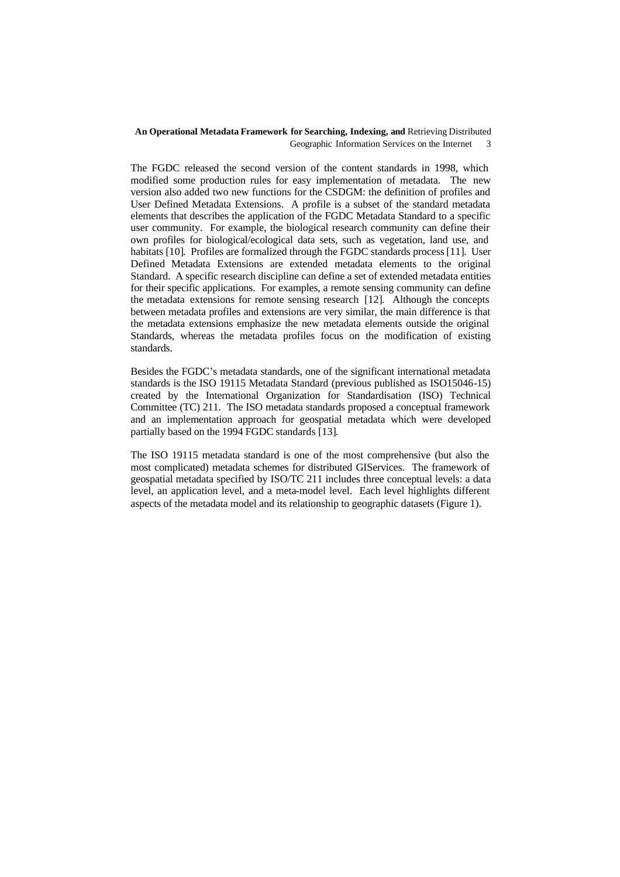The FGDC released the second version of the content standards in 1998, which modified some production rules for easy implementation of metadata. The new version also added two new functions for the CSDGM: the definition of profiles and User Defined Metadata Extensions. A profile is a subset of the standard metadata elements that describes the application of the FGDC Metadata Standard to a specific user community. For example, the biological research community can define their own profiles for biological/ecological data sets, such as vegetation, land use, and habitats [10]. Profiles are formalized through the FGDC standards process [11]. User Defined Metadata Extensions are extended metadata elements to the original Standard. A specific research discipline can define a set of extended metadata entities for their specific applications. For examples, a remote sensing community can define the metadata extensions for remote sensing research [12]. Although the concepts between metadata profiles and extensions are very similar, the main difference is that the metadata extensions emphasize the new metadata elements outside the original Standards, whereas the metadata profiles focus on the modification of existing standards.

Besides the FGDC's metadata standards, one of the significant international metadata standards is the ISO 19115 Metadata Standard (previous published as ISO15046-15) created by the International Organization for Standardisation (ISO) Technical Committee (TC) 211. The ISO metadata standards proposed a conceptual framework and an implementation approach for geospatial metadata which were developed partially based on the 1994 FGDC standards [13].

The ISO 19115 metadata standard is one of the most comprehensive (but also the most complicated) metadata schemes for distributed GIServices. The framework of geospatial metadata specified by ISO/TC 211 includes three conceptual levels: a data level, an application level, and a meta-model level. Each level highlights different aspects of the metadata model and its relationship to geographic datasets (Figure 1).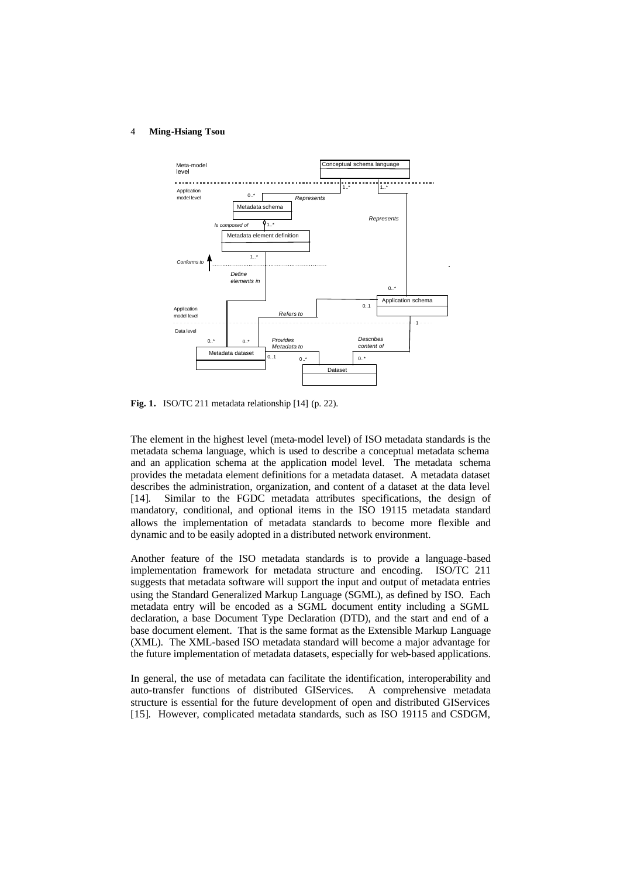

**Fig. 1.** ISO/TC 211 metadata relationship [14] (p. 22).

The element in the highest level (meta-model level) of ISO metadata standards is the metadata schema language, which is used to describe a conceptual metadata schema and an application schema at the application model level. The metadata schema provides the metadata element definitions for a metadata dataset. A metadata dataset describes the administration, organization, and content of a dataset at the data level [14]. Similar to the FGDC metadata attributes specifications, the design of mandatory, conditional, and optional items in the ISO 19115 metadata standard allows the implementation of metadata standards to become more flexible and dynamic and to be easily adopted in a distributed network environment.

Another feature of the ISO metadata standards is to provide a language-based implementation framework for metadata structure and encoding. ISO/TC 211 suggests that metadata software will support the input and output of metadata entries using the Standard Generalized Markup Language (SGML), as defined by ISO. Each metadata entry will be encoded as a SGML document entity including a SGML declaration, a base Document Type Declaration (DTD), and the start and end of a base document element. That is the same format as the Extensible Markup Language (XML). The XML-based ISO metadata standard will become a major advantage for the future implementation of metadata datasets, especially for web-based applications.

In general, the use of metadata can facilitate the identification, interoperability and auto-transfer functions of distributed GIServices. A comprehensive metadata structure is essential for the future development of open and distributed GIServices [15]. However, complicated metadata standards, such as ISO 19115 and CSDGM,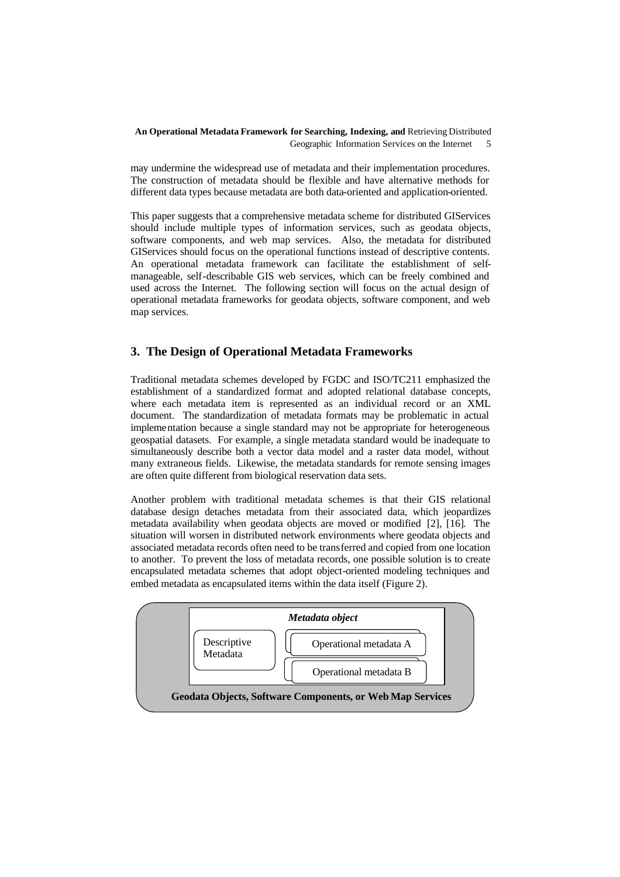may undermine the widespread use of metadata and their implementation procedures. The construction of metadata should be flexible and have alternative methods for different data types because metadata are both data-oriented and application-oriented.

This paper suggests that a comprehensive metadata scheme for distributed GIServices should include multiple types of information services, such as geodata objects, software components, and web map services. Also, the metadata for distributed GIServices should focus on the operational functions instead of descriptive contents. An operational metadata framework can facilitate the establishment of selfmanageable, self-describable GIS web services, which can be freely combined and used across the Internet. The following section will focus on the actual design of operational metadata frameworks for geodata objects, software component, and web map services.

# **3. The Design of Operational Metadata Frameworks**

Traditional metadata schemes developed by FGDC and ISO/TC211 emphasized the establishment of a standardized format and adopted relational database concepts, where each metadata item is represented as an individual record or an XML document. The standardization of metadata formats may be problematic in actual implementation because a single standard may not be appropriate for heterogeneous geospatial datasets. For example, a single metadata standard would be inadequate to simultaneously describe both a vector data model and a raster data model, without many extraneous fields. Likewise, the metadata standards for remote sensing images are often quite different from biological reservation data sets.

Another problem with traditional metadata schemes is that their GIS relational database design detaches metadata from their associated data, which jeopardizes metadata availability when geodata objects are moved or modified [2], [16]. The situation will worsen in distributed network environments where geodata objects and associated metadata records often need to be transferred and copied from one location to another. To prevent the loss of metadata records, one possible solution is to create encapsulated metadata schemes that adopt object-oriented modeling techniques and embed metadata as encapsulated items within the data itself (Figure 2).

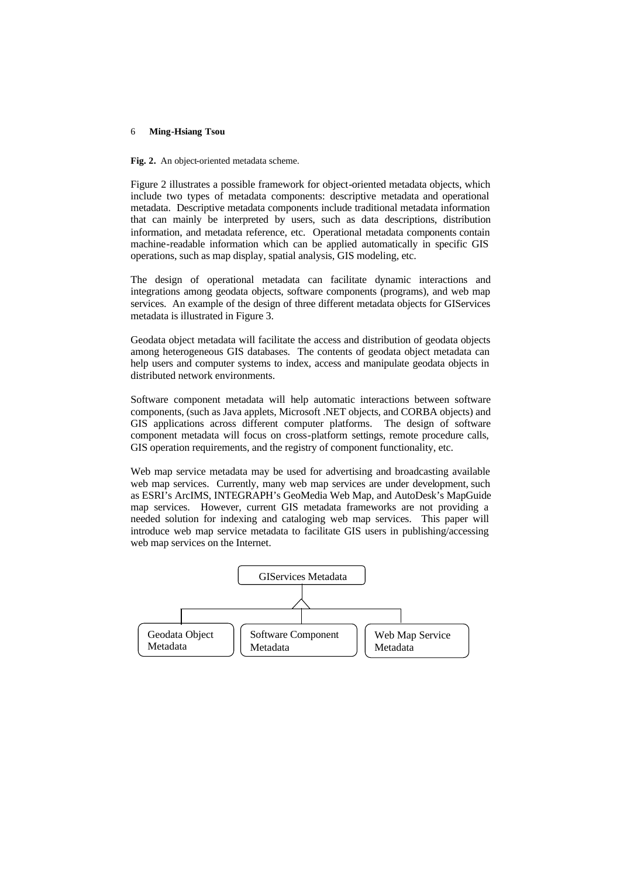**Fig. 2.** An object-oriented metadata scheme.

Figure 2 illustrates a possible framework for object-oriented metadata objects, which include two types of metadata components: descriptive metadata and operational metadata. Descriptive metadata components include traditional metadata information that can mainly be interpreted by users, such as data descriptions, distribution information, and metadata reference, etc. Operational metadata components contain machine-readable information which can be applied automatically in specific GIS operations, such as map display, spatial analysis, GIS modeling, etc.

The design of operational metadata can facilitate dynamic interactions and integrations among geodata objects, software components (programs), and web map services. An example of the design of three different metadata objects for GIServices metadata is illustrated in Figure 3.

Geodata object metadata will facilitate the access and distribution of geodata objects among heterogeneous GIS databases. The contents of geodata object metadata can help users and computer systems to index, access and manipulate geodata objects in distributed network environments.

Software component metadata will help automatic interactions between software components, (such as Java applets, Microsoft .NET objects, and CORBA objects) and GIS applications across different computer platforms. The design of software component metadata will focus on cross-platform settings, remote procedure calls, GIS operation requirements, and the registry of component functionality, etc.

Web map service metadata may be used for advertising and broadcasting available web map services. Currently, many web map services are under development, such as ESRI's ArcIMS, INTEGRAPH's GeoMedia Web Map, and AutoDesk's MapGuide map services. However, current GIS metadata frameworks are not providing a needed solution for indexing and cataloging web map services. This paper will introduce web map service metadata to facilitate GIS users in publishing/accessing web map services on the Internet.

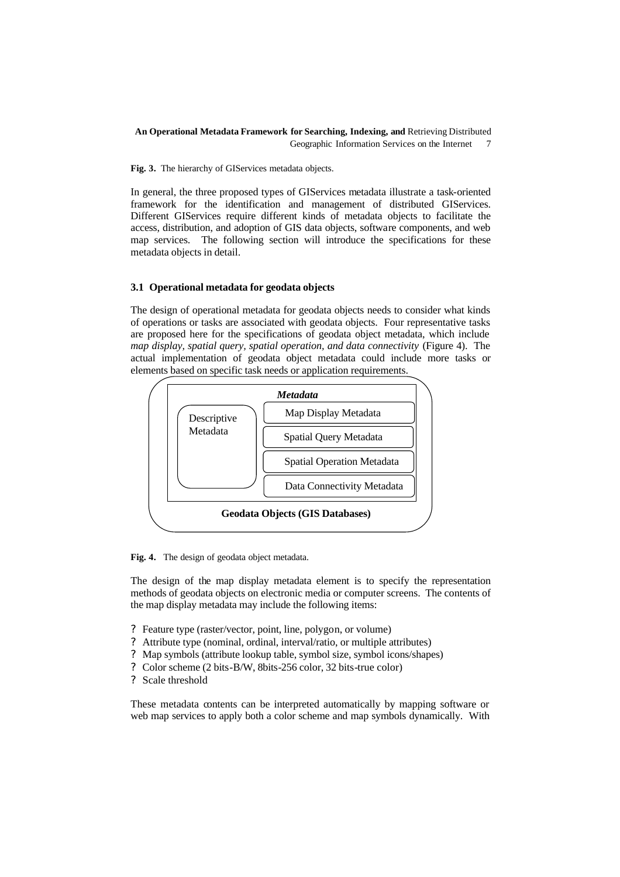**Fig. 3.** The hierarchy of GIServices metadata objects.

In general, the three proposed types of GIServices metadata illustrate a task-oriented framework for the identification and management of distributed GIServices. Different GIServices require different kinds of metadata objects to facilitate the access, distribution, and adoption of GIS data objects, software components, and web map services. The following section will introduce the specifications for these metadata objects in detail.

#### **3.1 Operational metadata for geodata objects**

The design of operational metadata for geodata objects needs to consider what kinds of operations or tasks are associated with geodata objects. Four representative tasks are proposed here for the specifications of geodata object metadata, which include *map display, spatial query, spatial operation, and data connectivity* (Figure 4). The actual implementation of geodata object metadata could include more tasks or elements based on specific task needs or application requirements.



**Fig. 4.** The design of geodata object metadata.

The design of the map display metadata element is to specify the representation methods of geodata objects on electronic media or computer screens. The contents of the map display metadata may include the following items:

- ? Feature type (raster/vector, point, line, polygon, or volume)
- ? Attribute type (nominal, ordinal, interval/ratio, or multiple attributes)
- ? Map symbols (attribute lookup table, symbol size, symbol icons/shapes)
- ? Color scheme (2 bits-B/W, 8bits-256 color, 32 bits-true color)
- ? Scale threshold

These metadata contents can be interpreted automatically by mapping software or web map services to apply both a color scheme and map symbols dynamically. With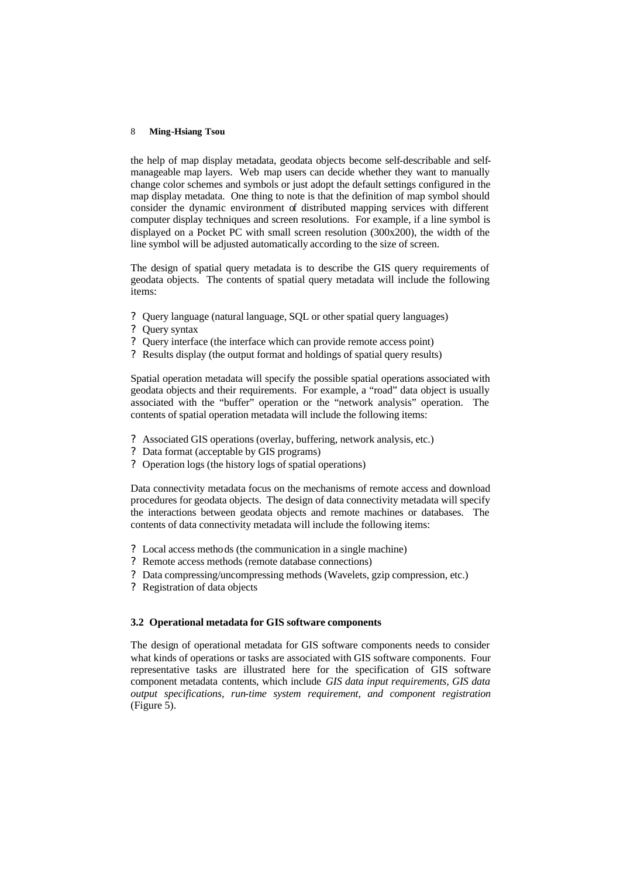the help of map display metadata, geodata objects become self-describable and selfmanageable map layers. Web map users can decide whether they want to manually change color schemes and symbols or just adopt the default settings configured in the map display metadata. One thing to note is that the definition of map symbol should consider the dynamic environment of distributed mapping services with different computer display techniques and screen resolutions. For example, if a line symbol is displayed on a Pocket PC with small screen resolution (300x200), the width of the line symbol will be adjusted automatically according to the size of screen.

The design of spatial query metadata is to describe the GIS query requirements of geodata objects. The contents of spatial query metadata will include the following items:

- ? Query language (natural language, SQL or other spatial query languages)
- ? Query syntax
- ? Query interface (the interface which can provide remote access point)
- ? Results display (the output format and holdings of spatial query results)

Spatial operation metadata will specify the possible spatial operations associated with geodata objects and their requirements. For example, a "road" data object is usually associated with the "buffer" operation or the "network analysis" operation. The contents of spatial operation metadata will include the following items:

- ? Associated GIS operations (overlay, buffering, network analysis, etc.)
- ? Data format (acceptable by GIS programs)
- ? Operation logs (the history logs of spatial operations)

Data connectivity metadata focus on the mechanisms of remote access and download procedures for geodata objects. The design of data connectivity metadata will specify the interactions between geodata objects and remote machines or databases. The contents of data connectivity metadata will include the following items:

- ? Local access methods (the communication in a single machine)
- ? Remote access methods (remote database connections)
- ? Data compressing/uncompressing methods (Wavelets, gzip compression, etc.)
- ? Registration of data objects

### **3.2 Operational metadata for GIS software components**

The design of operational metadata for GIS software components needs to consider what kinds of operations or tasks are associated with GIS software components. Four representative tasks are illustrated here for the specification of GIS software component metadata contents, which include *GIS data input requirements, GIS data output specifications, run-time system requirement, and component registration* (Figure 5).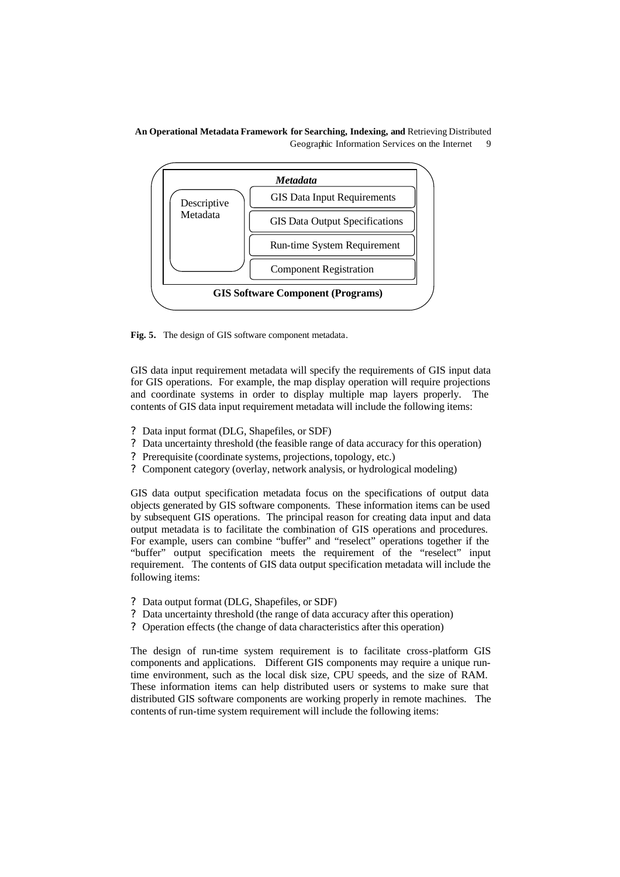

**Fig. 5.** The design of GIS software component metadata.

GIS data input requirement metadata will specify the requirements of GIS input data for GIS operations. For example, the map display operation will require projections and coordinate systems in order to display multiple map layers properly. The contents of GIS data input requirement metadata will include the following items:

- ? Data input format (DLG, Shapefiles, or SDF)
- ? Data uncertainty threshold (the feasible range of data accuracy for this operation)
- ? Prerequisite (coordinate systems, projections, topology, etc.)
- ? Component category (overlay, network analysis, or hydrological modeling)

GIS data output specification metadata focus on the specifications of output data objects generated by GIS software components. These information items can be used by subsequent GIS operations. The principal reason for creating data input and data output metadata is to facilitate the combination of GIS operations and procedures. For example, users can combine "buffer" and "reselect" operations together if the "buffer" output specification meets the requirement of the "reselect" input requirement. The contents of GIS data output specification metadata will include the following items:

- ? Data output format (DLG, Shapefiles, or SDF)
- ? Data uncertainty threshold (the range of data accuracy after this operation)
- ? Operation effects (the change of data characteristics after this operation)

The design of run-time system requirement is to facilitate cross-platform GIS components and applications. Different GIS components may require a unique runtime environment, such as the local disk size, CPU speeds, and the size of RAM. These information items can help distributed users or systems to make sure that distributed GIS software components are working properly in remote machines. The contents of run-time system requirement will include the following items: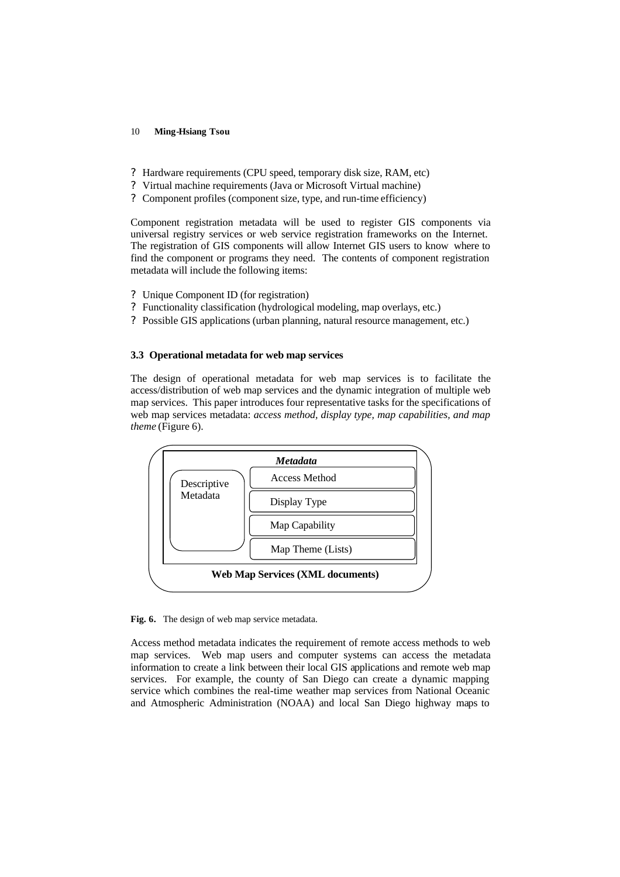- ? Hardware requirements (CPU speed, temporary disk size, RAM, etc)
- ? Virtual machine requirements (Java or Microsoft Virtual machine)
- ? Component profiles (component size, type, and run-time efficiency)

Component registration metadata will be used to register GIS components via universal registry services or web service registration frameworks on the Internet. The registration of GIS components will allow Internet GIS users to know where to find the component or programs they need. The contents of component registration metadata will include the following items:

- ? Unique Component ID (for registration)
- ? Functionality classification (hydrological modeling, map overlays, etc.)
- ? Possible GIS applications (urban planning, natural resource management, etc.)

#### **3.3 Operational metadata for web map services**

The design of operational metadata for web map services is to facilitate the access/distribution of web map services and the dynamic integration of multiple web map services. This paper introduces four representative tasks for the specifications of web map services metadata: *access method, display type, map capabilities, and map theme* (Figure 6).



**Fig. 6.** The design of web map service metadata.

Access method metadata indicates the requirement of remote access methods to web map services. Web map users and computer systems can access the metadata information to create a link between their local GIS applications and remote web map services. For example, the county of San Diego can create a dynamic mapping service which combines the real-time weather map services from National Oceanic and Atmospheric Administration (NOAA) and local San Diego highway maps to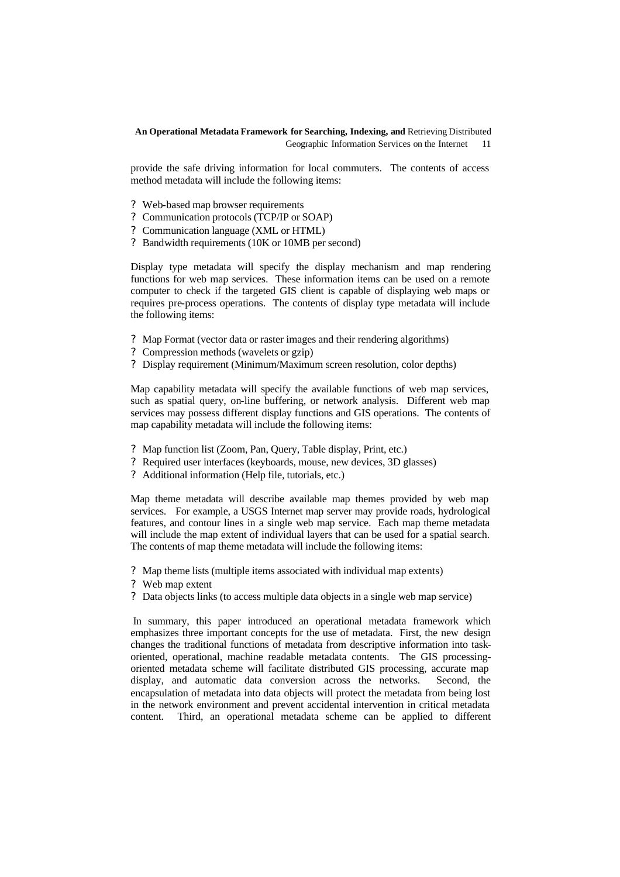provide the safe driving information for local commuters. The contents of access method metadata will include the following items:

- ? Web-based map browser requirements
- ? Communication protocols (TCP/IP or SOAP)
- ? Communication language (XML or HTML)
- ? Bandwidth requirements (10K or 10MB per second)

Display type metadata will specify the display mechanism and map rendering functions for web map services. These information items can be used on a remote computer to check if the targeted GIS client is capable of displaying web maps or requires pre-process operations. The contents of display type metadata will include the following items:

- ? Map Format (vector data or raster images and their rendering algorithms)
- ? Compression methods (wavelets or gzip)
- ? Display requirement (Minimum/Maximum screen resolution, color depths)

Map capability metadata will specify the available functions of web map services, such as spatial query, on-line buffering, or network analysis. Different web map services may possess different display functions and GIS operations. The contents of map capability metadata will include the following items:

- ? Map function list (Zoom, Pan, Query, Table display, Print, etc.)
- ? Required user interfaces (keyboards, mouse, new devices, 3D glasses)
- ? Additional information (Help file, tutorials, etc.)

Map theme metadata will describe available map themes provided by web map services. For example, a USGS Internet map server may provide roads, hydrological features, and contour lines in a single web map service. Each map theme metadata will include the map extent of individual layers that can be used for a spatial search. The contents of map theme metadata will include the following items:

- ? Map theme lists (multiple items associated with individual map extents)
- ? Web map extent
- ? Data objects links (to access multiple data objects in a single web map service)

 In summary, this paper introduced an operational metadata framework which emphasizes three important concepts for the use of metadata. First, the new design changes the traditional functions of metadata from descriptive information into taskoriented, operational, machine readable metadata contents. The GIS processingoriented metadata scheme will facilitate distributed GIS processing, accurate map display, and automatic data conversion across the networks. Second, the encapsulation of metadata into data objects will protect the metadata from being lost in the network environment and prevent accidental intervention in critical metadata content. Third, an operational metadata scheme can be applied to different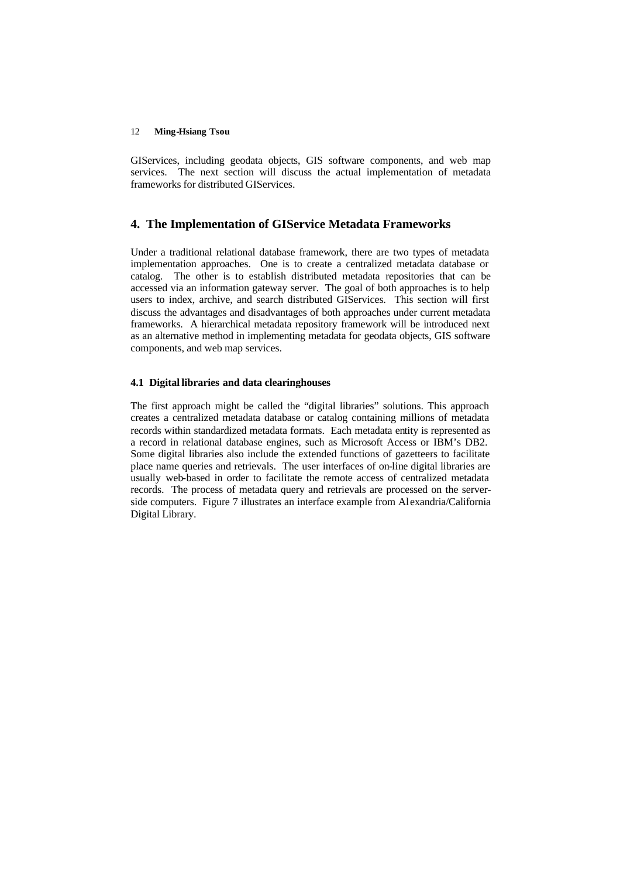GIServices, including geodata objects, GIS software components, and web map services. The next section will discuss the actual implementation of metadata frameworks for distributed GIServices.

# **4. The Implementation of GIService Metadata Frameworks**

Under a traditional relational database framework, there are two types of metadata implementation approaches. One is to create a centralized metadata database or catalog. The other is to establish distributed metadata repositories that can be accessed via an information gateway server. The goal of both approaches is to help users to index, archive, and search distributed GIServices. This section will first discuss the advantages and disadvantages of both approaches under current metadata frameworks. A hierarchical metadata repository framework will be introduced next as an alternative method in implementing metadata for geodata objects, GIS software components, and web map services.

### **4.1 Digital libraries and data clearinghouses**

The first approach might be called the "digital libraries" solutions. This approach creates a centralized metadata database or catalog containing millions of metadata records within standardized metadata formats. Each metadata entity is represented as a record in relational database engines, such as Microsoft Access or IBM's DB2. Some digital libraries also include the extended functions of gazetteers to facilitate place name queries and retrievals. The user interfaces of on-line digital libraries are usually web-based in order to facilitate the remote access of centralized metadata records. The process of metadata query and retrievals are processed on the serverside computers. Figure 7 illustrates an interface example from Alexandria/California Digital Library.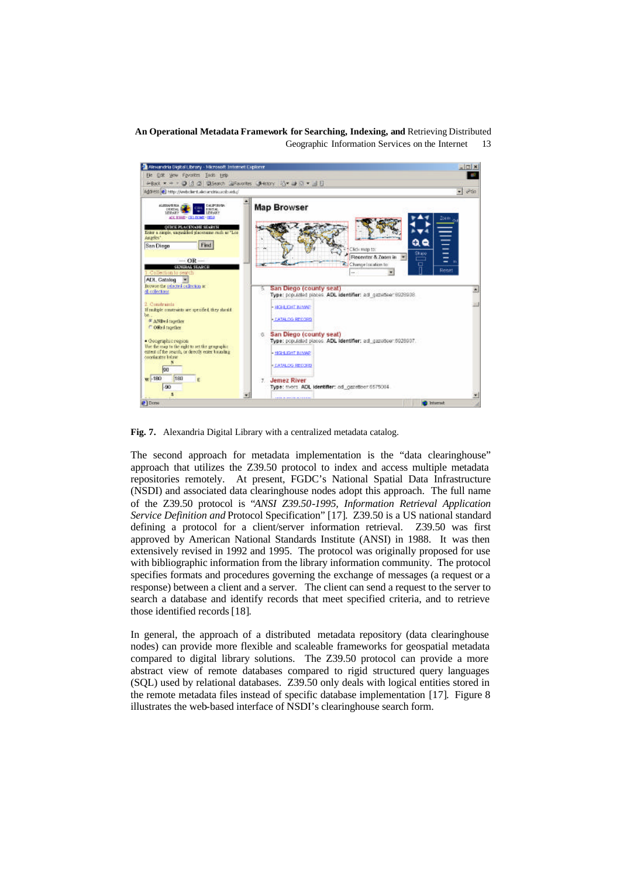

**Fig. 7.** Alexandria Digital Library with a centralized metadata catalog.

The second approach for metadata implementation is the "data clearinghouse" approach that utilizes the Z39.50 protocol to index and access multiple metadata repositories remotely. At present, FGDC's National Spatial Data Infrastructure (NSDI) and associated data clearinghouse nodes adopt this approach. The full name of the Z39.50 protocol is "*ANSI Z39.50-1995, Information Retrieval Application Service Definition and* Protocol Specification" [17]. Z39.50 is a US national standard defining a protocol for a client/server information retrieval. Z39.50 was first approved by American National Standards Institute (ANSI) in 1988. It was then extensively revised in 1992 and 1995. The protocol was originally proposed for use with bibliographic information from the library information community. The protocol specifies formats and procedures governing the exchange of messages (a request or a response) between a client and a server. The client can send a request to the server to search a database and identify records that meet specified criteria, and to retrieve those identified records [18].

In general, the approach of a distributed metadata repository (data clearinghouse nodes) can provide more flexible and scaleable frameworks for geospatial metadata compared to digital library solutions. The Z39.50 protocol can provide a more abstract view of remote databases compared to rigid structured query languages (SQL) used by relational databases. Z39.50 only deals with logical entities stored in the remote metadata files instead of specific database implementation [17]. Figure 8 illustrates the web-based interface of NSDI's clearinghouse search form.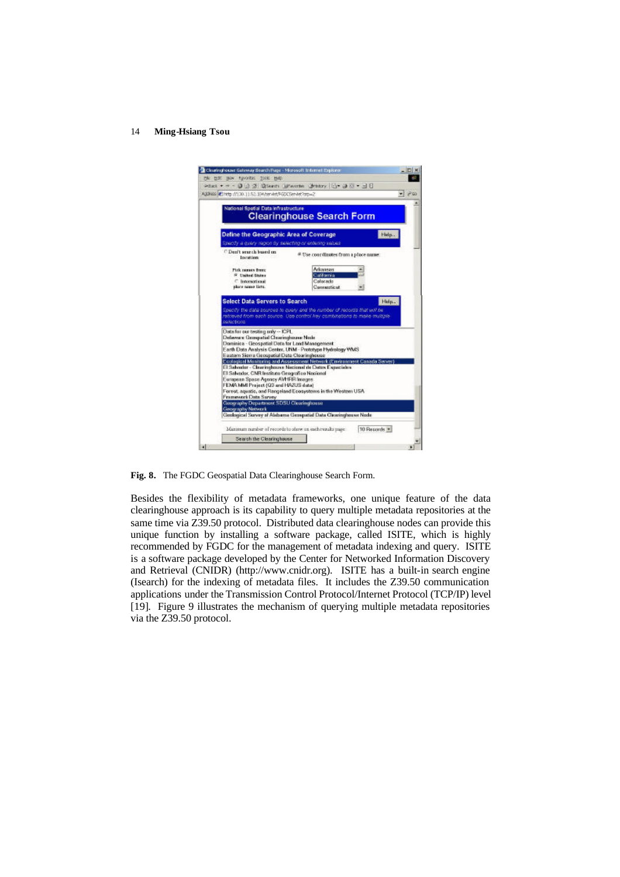

**Fig. 8.** The FGDC Geospatial Data Clearinghouse Search Form.

Besides the flexibility of metadata frameworks, one unique feature of the data clearinghouse approach is its capability to query multiple metadata repositories at the same time via Z39.50 protocol. Distributed data clearinghouse nodes can provide this unique function by installing a software package, called ISITE, which is highly recommended by FGDC for the management of metadata indexing and query. ISITE is a software package developed by the Center for Networked Information Discovery and Retrieval (CNIDR) (http://www.cnidr.org). ISITE has a built-in search engine (Isearch) for the indexing of metadata files. It includes the Z39.50 communication applications under the Transmission Control Protocol/Internet Protocol (TCP/IP) level [19]. Figure 9 illustrates the mechanism of querying multiple metadata repositories via the Z39.50 protocol.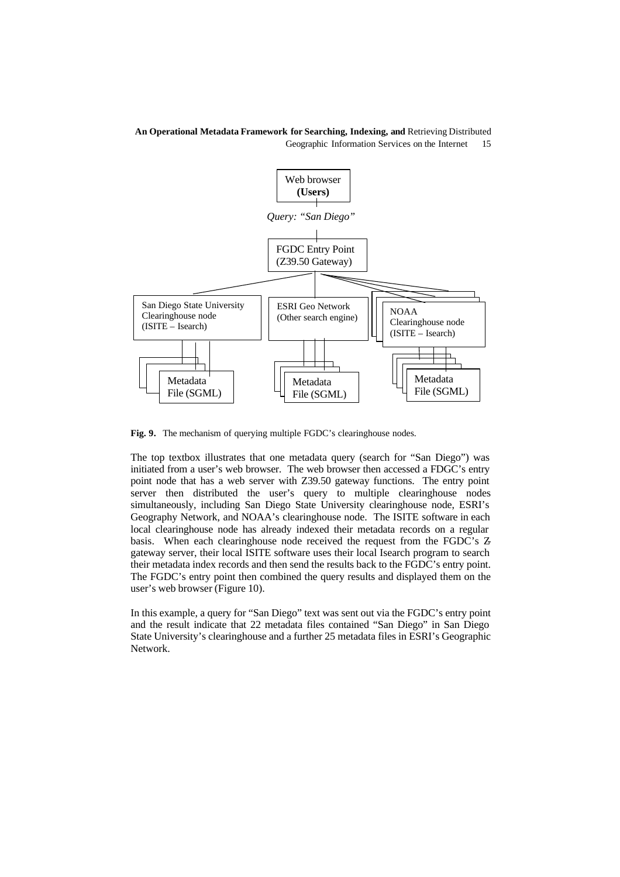

**Fig. 9.** The mechanism of querying multiple FGDC's clearinghouse nodes.

The top textbox illustrates that one metadata query (search for "San Diego") was initiated from a user's web browser. The web browser then accessed a FDGC's entry point node that has a web server with Z39.50 gateway functions. The entry point server then distributed the user's query to multiple clearinghouse nodes simultaneously, including San Diego State University clearinghouse node, ESRI's Geography Network, and NOAA's clearinghouse node. The ISITE software in each local clearinghouse node has already indexed their metadata records on a regular basis. When each clearinghouse node received the request from the FGDC's Zgateway server, their local ISITE software uses their local Isearch program to search their metadata index records and then send the results back to the FGDC's entry point. The FGDC's entry point then combined the query results and displayed them on the user's web browser (Figure 10).

In this example, a query for "San Diego" text was sent out via the FGDC's entry point and the result indicate that 22 metadata files contained "San Diego" in San Diego State University's clearinghouse and a further 25 metadata files in ESRI's Geographic Network.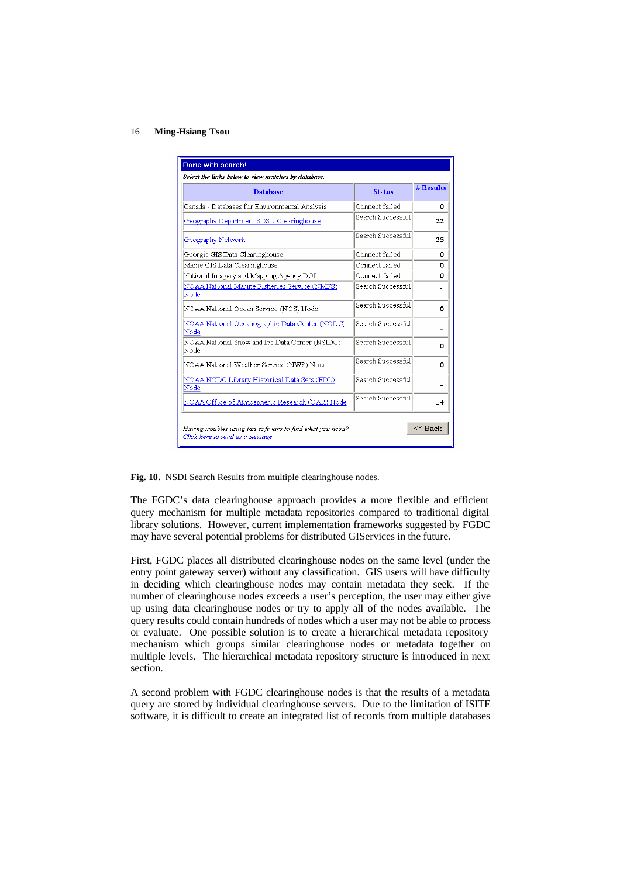| Done with search!                                                                              |                   |           |
|------------------------------------------------------------------------------------------------|-------------------|-----------|
| Select the links below to view matches by database.                                            |                   |           |
| <b>Database</b>                                                                                | <b>Status</b>     | # Results |
| Canada - Databases for Environmental Analysis                                                  | Connect failed    | n         |
| Geography Department SDSU Clearinghouse                                                        | Search Successful | 22        |
| Geography Network                                                                              | Search Successful | 25        |
| Georgia GIS Data Clearinghouse                                                                 | Connect failed    | n         |
| Maine GIS Data Clearinghouse                                                                   | Connect failed    | n         |
| National Imagery and Mapping Agency DOI                                                        | Connect failed    | 0         |
| NOAA National Marine Fisheries Service (NMFS)<br>Node                                          | Search Successful | 1         |
| NOAA National Ocean Service (NOS) Node                                                         | Search Successful | n         |
| NOAA National Oceanographic Data Center (NODC)<br>Node                                         | Search Successful | 1         |
| NOAA National Snow and Ice Data Center (NSIDC)<br>Node                                         | Search Successful | $\Omega$  |
| NOAA National Weather Service (NWS) Node                                                       | Search Successful | 0         |
| NOAA NCDC Library Historical Data Sets (FDL)<br>Node                                           | Search Successful | 1         |
| NOAA Office of Atmospheric Research (OAR) Node                                                 | Search Successful | 14        |
| Having troubles using this software to find what you need?<br>Click here to send us a message. |                   | $<<$ Back |

**Fig. 10.** NSDI Search Results from multiple clearinghouse nodes.

The FGDC's data clearinghouse approach provides a more flexible and efficient query mechanism for multiple metadata repositories compared to traditional digital library solutions. However, current implementation frameworks suggested by FGDC may have several potential problems for distributed GIServices in the future.

First, FGDC places all distributed clearinghouse nodes on the same level (under the entry point gateway server) without any classification. GIS users will have difficulty in deciding which clearinghouse nodes may contain metadata they seek. If the number of clearinghouse nodes exceeds a user's perception, the user may either give up using data clearinghouse nodes or try to apply all of the nodes available. The query results could contain hundreds of nodes which a user may not be able to process or evaluate. One possible solution is to create a hierarchical metadata repository mechanism which groups similar clearinghouse nodes or metadata together on multiple levels. The hierarchical metadata repository structure is introduced in next section.

A second problem with FGDC clearinghouse nodes is that the results of a metadata query are stored by individual clearinghouse servers. Due to the limitation of ISITE software, it is difficult to create an integrated list of records from multiple databases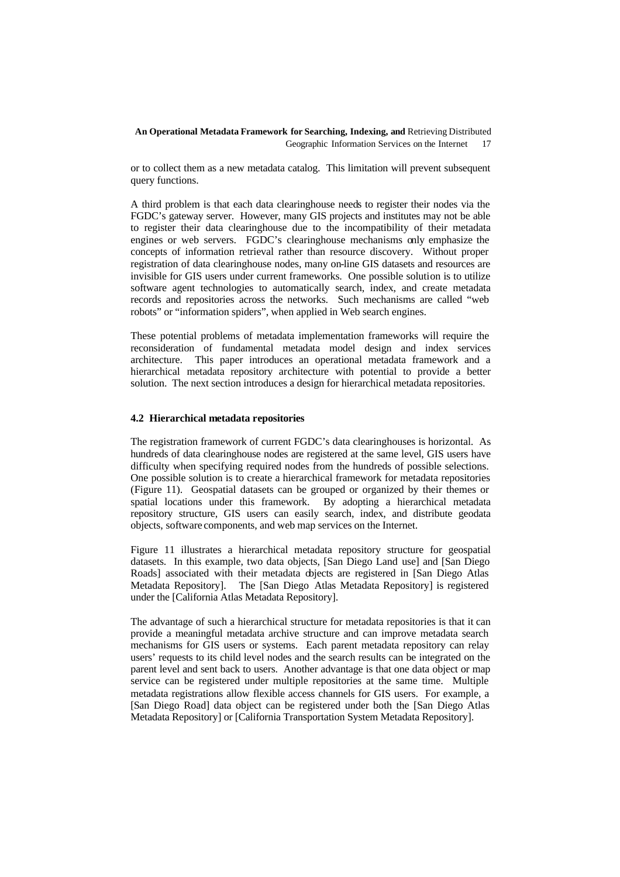or to collect them as a new metadata catalog. This limitation will prevent subsequent query functions.

A third problem is that each data clearinghouse needs to register their nodes via the FGDC's gateway server. However, many GIS projects and institutes may not be able to register their data clearinghouse due to the incompatibility of their metadata engines or web servers. FGDC's clearinghouse mechanisms only emphasize the concepts of information retrieval rather than resource discovery. Without proper registration of data clearinghouse nodes, many on-line GIS datasets and resources are invisible for GIS users under current frameworks. One possible solution is to utilize software agent technologies to automatically search, index, and create metadata records and repositories across the networks. Such mechanisms are called "web robots" or "information spiders", when applied in Web search engines.

These potential problems of metadata implementation frameworks will require the reconsideration of fundamental metadata model design and index services architecture. This paper introduces an operational metadata framework and a hierarchical metadata repository architecture with potential to provide a better solution. The next section introduces a design for hierarchical metadata repositories.

#### **4.2 Hierarchical metadata repositories**

The registration framework of current FGDC's data clearinghouses is horizontal. As hundreds of data clearinghouse nodes are registered at the same level, GIS users have difficulty when specifying required nodes from the hundreds of possible selections. One possible solution is to create a hierarchical framework for metadata repositories (Figure 11). Geospatial datasets can be grouped or organized by their themes or spatial locations under this framework. By adopting a hierarchical metadata repository structure, GIS users can easily search, index, and distribute geodata objects, software components, and web map services on the Internet.

Figure 11 illustrates a hierarchical metadata repository structure for geospatial datasets. In this example, two data objects, [San Diego Land use] and [San Diego Roads] associated with their metadata objects are registered in [San Diego Atlas Metadata Repository]. The [San Diego Atlas Metadata Repository] is registered under the [California Atlas Metadata Repository].

The advantage of such a hierarchical structure for metadata repositories is that it can provide a meaningful metadata archive structure and can improve metadata search mechanisms for GIS users or systems. Each parent metadata repository can relay users' requests to its child level nodes and the search results can be integrated on the parent level and sent back to users. Another advantage is that one data object or map service can be registered under multiple repositories at the same time. Multiple metadata registrations allow flexible access channels for GIS users. For example, a [San Diego Road] data object can be registered under both the [San Diego Atlas Metadata Repository] or [California Transportation System Metadata Repository].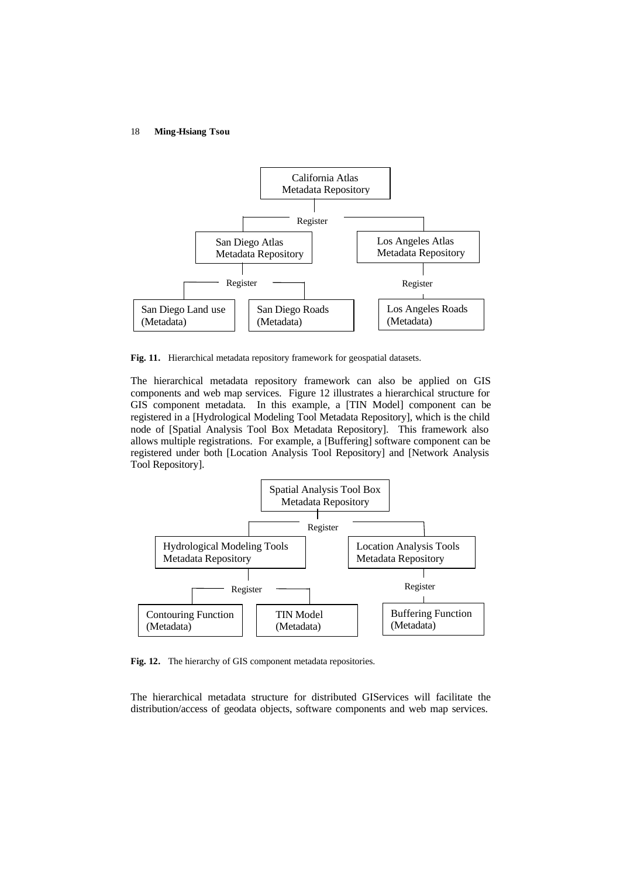

**Fig. 11.** Hierarchical metadata repository framework for geospatial datasets.

The hierarchical metadata repository framework can also be applied on GIS components and web map services. Figure 12 illustrates a hierarchical structure for GIS component metadata. In this example, a [TIN Model] component can be registered in a [Hydrological Modeling Tool Metadata Repository], which is the child node of [Spatial Analysis Tool Box Metadata Repository]. This framework also allows multiple registrations. For example, a [Buffering] software component can be registered under both [Location Analysis Tool Repository] and [Network Analysis Tool Repository].



**Fig. 12.** The hierarchy of GIS component metadata repositories.

The hierarchical metadata structure for distributed GIServices will facilitate the distribution/access of geodata objects, software components and web map services.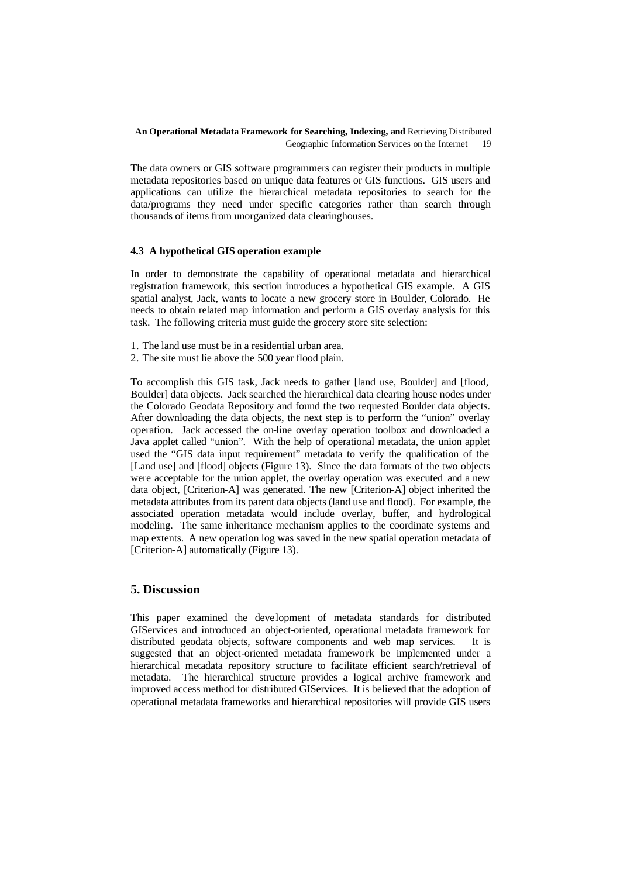The data owners or GIS software programmers can register their products in multiple metadata repositories based on unique data features or GIS functions. GIS users and applications can utilize the hierarchical metadata repositories to search for the data/programs they need under specific categories rather than search through thousands of items from unorganized data clearinghouses.

#### **4.3 A hypothetical GIS operation example**

In order to demonstrate the capability of operational metadata and hierarchical registration framework, this section introduces a hypothetical GIS example. A GIS spatial analyst, Jack, wants to locate a new grocery store in Boulder, Colorado. He needs to obtain related map information and perform a GIS overlay analysis for this task. The following criteria must guide the grocery store site selection:

- 1. The land use must be in a residential urban area.
- 2. The site must lie above the 500 year flood plain.

To accomplish this GIS task, Jack needs to gather [land use, Boulder] and [flood, Boulder] data objects. Jack searched the hierarchical data clearing house nodes under the Colorado Geodata Repository and found the two requested Boulder data objects. After downloading the data objects, the next step is to perform the "union" overlay operation. Jack accessed the on-line overlay operation toolbox and downloaded a Java applet called "union". With the help of operational metadata, the union applet used the "GIS data input requirement" metadata to verify the qualification of the [Land use] and [flood] objects (Figure 13). Since the data formats of the two objects were acceptable for the union applet, the overlay operation was executed and a new data object, [Criterion-A] was generated. The new [Criterion-A] object inherited the metadata attributes from its parent data objects (land use and flood). For example, the associated operation metadata would include overlay, buffer, and hydrological modeling. The same inheritance mechanism applies to the coordinate systems and map extents. A new operation log was saved in the new spatial operation metadata of [Criterion-A] automatically (Figure 13).

## **5. Discussion**

This paper examined the development of metadata standards for distributed GIServices and introduced an object-oriented, operational metadata framework for distributed geodata objects, software components and web map services. It is suggested that an object-oriented metadata framework be implemented under a hierarchical metadata repository structure to facilitate efficient search/retrieval of metadata. The hierarchical structure provides a logical archive framework and improved access method for distributed GIServices. It is believed that the adoption of operational metadata frameworks and hierarchical repositories will provide GIS users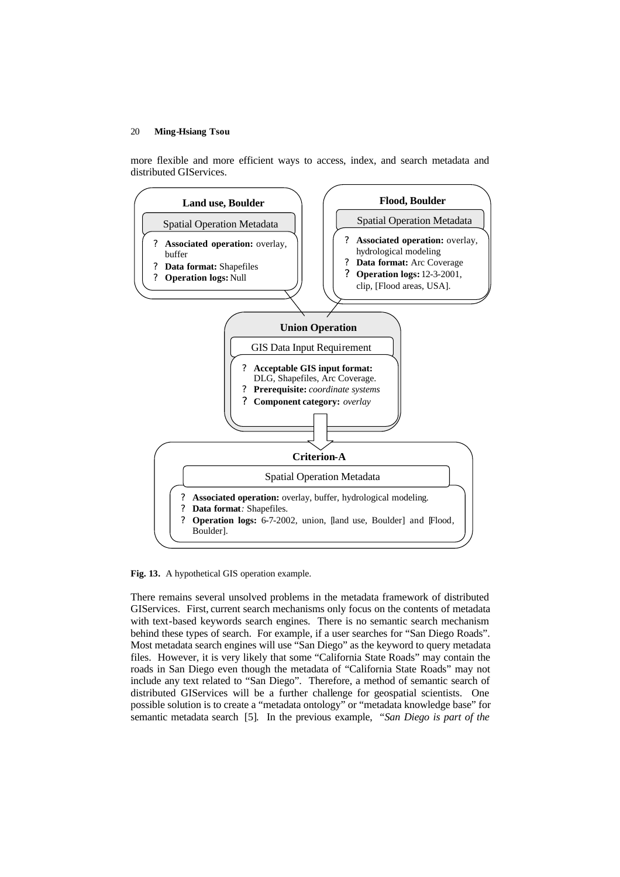more flexible and more efficient ways to access, index, and search metadata and distributed GIServices.



**Fig. 13.** A hypothetical GIS operation example.

There remains several unsolved problems in the metadata framework of distributed GIServices. First, current search mechanisms only focus on the contents of metadata with text-based keywords search engines. There is no semantic search mechanism behind these types of search. For example, if a user searches for "San Diego Roads". Most metadata search engines will use "San Diego" as the keyword to query metadata files. However, it is very likely that some "California State Roads" may contain the roads in San Diego even though the metadata of "California State Roads" may not include any text related to "San Diego". Therefore, a method of semantic search of distributed GIServices will be a further challenge for geospatial scientists. One possible solution is to create a "metadata ontology" or "metadata knowledge base" for semantic metadata search [5]. In the previous example, *"San Diego is part of the*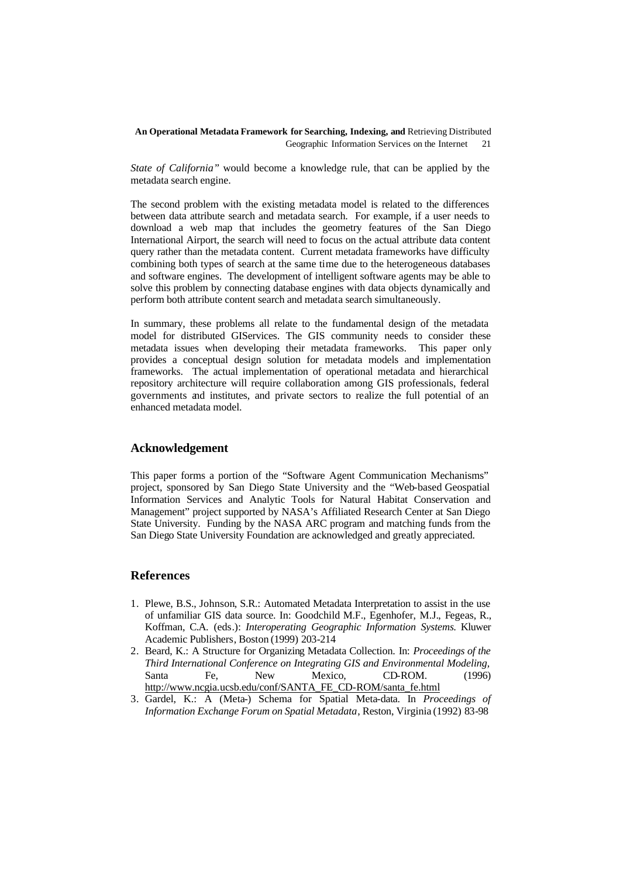*State of California"* would become a knowledge rule, that can be applied by the metadata search engine.

The second problem with the existing metadata model is related to the differences between data attribute search and metadata search. For example, if a user needs to download a web map that includes the geometry features of the San Diego International Airport, the search will need to focus on the actual attribute data content query rather than the metadata content. Current metadata frameworks have difficulty combining both types of search at the same time due to the heterogeneous databases and software engines. The development of intelligent software agents may be able to solve this problem by connecting database engines with data objects dynamically and perform both attribute content search and metadata search simultaneously.

In summary, these problems all relate to the fundamental design of the metadata model for distributed GIServices. The GIS community needs to consider these metadata issues when developing their metadata frameworks. This paper only provides a conceptual design solution for metadata models and implementation frameworks. The actual implementation of operational metadata and hierarchical repository architecture will require collaboration among GIS professionals, federal governments and institutes, and private sectors to realize the full potential of an enhanced metadata model.

### **Acknowledgement**

This paper forms a portion of the "Software Agent Communication Mechanisms" project, sponsored by San Diego State University and the "Web-based Geospatial Information Services and Analytic Tools for Natural Habitat Conservation and Management" project supported by NASA's Affiliated Research Center at San Diego State University. Funding by the NASA ARC program and matching funds from the San Diego State University Foundation are acknowledged and greatly appreciated.

### **References**

- 1. Plewe, B.S., Johnson, S.R.: Automated Metadata Interpretation to assist in the use of unfamiliar GIS data source. In: Goodchild M.F., Egenhofer, M.J., Fegeas, R., Koffman, C.A. (eds.): *Interoperating Geographic Information Systems.* Kluwer Academic Publishers, Boston (1999) 203-214
- 2. Beard, K.: A Structure for Organizing Metadata Collection. In: *Proceedings of the Third International Conference on Integrating GIS and Environmental Modeling,*  Santa Fe, New Mexico, CD-ROM. (1996) http://www.ncgia.ucsb.edu/conf/SANTA\_FE\_CD-ROM/santa\_fe.html
- 3. Gardel, K.: A (Meta-) Schema for Spatial Meta-data. In *Proceedings of Information Exchange Forum on Spatial Metadata*, Reston, Virginia (1992) 83-98